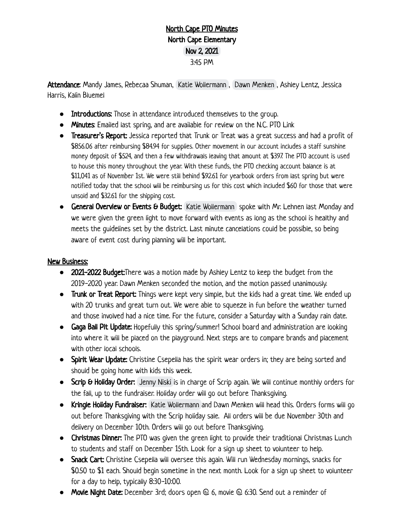## North Cape PTO Minutes North Cape Elementary Nov 2, 2021 3:45 PM

Attendance: Mandy James, Rebecaa Shuman, [Katie Wollermann](mailto:katie.wollermann@gmail.com), [Dawn Menken](mailto:dmenken@northcape.k12.wi.us), Ashley Lentz, Jessica Harris, Kalin Bluemel

- **●** Introductions: Those in attendance introduced themselves to the group.
- **●** Minutes: Emailed last spring, and are available for review on the N.C. PTO Link
- **●** Treasurer's Report: Jessica reported that Trunk or Treat was a great success and had a profit of \$856.06 after reimbursing \$84.94 for supplies. Other movement in our account includes a staff sunshine money deposit of \$524, and then a few withdrawals leaving that amount at \$397. The PTO account is used to house this money throughout the year. With these funds, the PTO checking account balance is at \$11,041 as of November 1st. We were still behind \$92.61 for yearbook orders from last spring but were notified today that the school will be reimbursing us for this cost which included \$60 for those that were unsold and \$32.61 for the shipping cost.
- **General Overview or Events & Budget:** [Katie Wollermann](mailto:katie.wollermann@gmail.com) spoke with Mr. Lehnen last Monday and we were given the green light to move forward with events as long as the school is healthy and meets the guidelines set by the district. Last minute cancelations could be possible, so being aware of event cost during planning will be important.

## New Business:

- **●** 2021-2022 Budget:There was a motion made by Ashley Lentz to keep the budget from the 2019-2020 year. Dawn Menken seconded the motion, and the motion passed unanimously.
- **●** Trunk or Treat Report: Things were kept very simple, but the kids had a great time. We ended up with 20 trunks and great turn out. We were able to squeeze in fun before the weather turned and those involved had a nice time. For the future, consider a Saturday with a Sunday rain date.
- **●** Gaga Ball Pit Update: Hopefully this spring/summer! School board and administration are looking into where it will be placed on the playground. Next steps are to compare brands and placement with other local schools.
- **●** Spirit Wear Update: Christine Csepella has the spirit wear orders in; they are being sorted and should be going home with kids this week.
- **Scrip & Holiday Order:** [Jenny Niski](mailto:jennyniski@gmail.com) is in charge of Scrip again. We will continue monthly orders for the fall, up to the fundraiser. Holiday order will go out before Thanksgiving.
- **●** Kringle Holiday Fundraiser: [Katie Wollermann](mailto:katie.wollermann@gmail.com) and Dawn Menken will head this. Orders forms will go out before Thanksgiving with the Scrip holiday sale. All orders will be due November 30th and delivery on December 10th. Orders will go out before Thanksgiving.
- **●** Christmas Dinner: The PTO was given the green light to provide their traditional Christmas Lunch to students and staff on December 15th. Look for a sign up sheet to volunteer to help.
- **●** Snack Cart: Christine Csepella will oversee this again. Will run Wednesday mornings, snacks for \$0.50 to \$1 each. Should begin sometime in the next month. Look for a sign up sheet to volunteer for a day to help, typically 8:30-10:00.
- **●** Movie Night Date: December 3rd; doors open @ 6, movie @ 6:30. Send out a reminder of